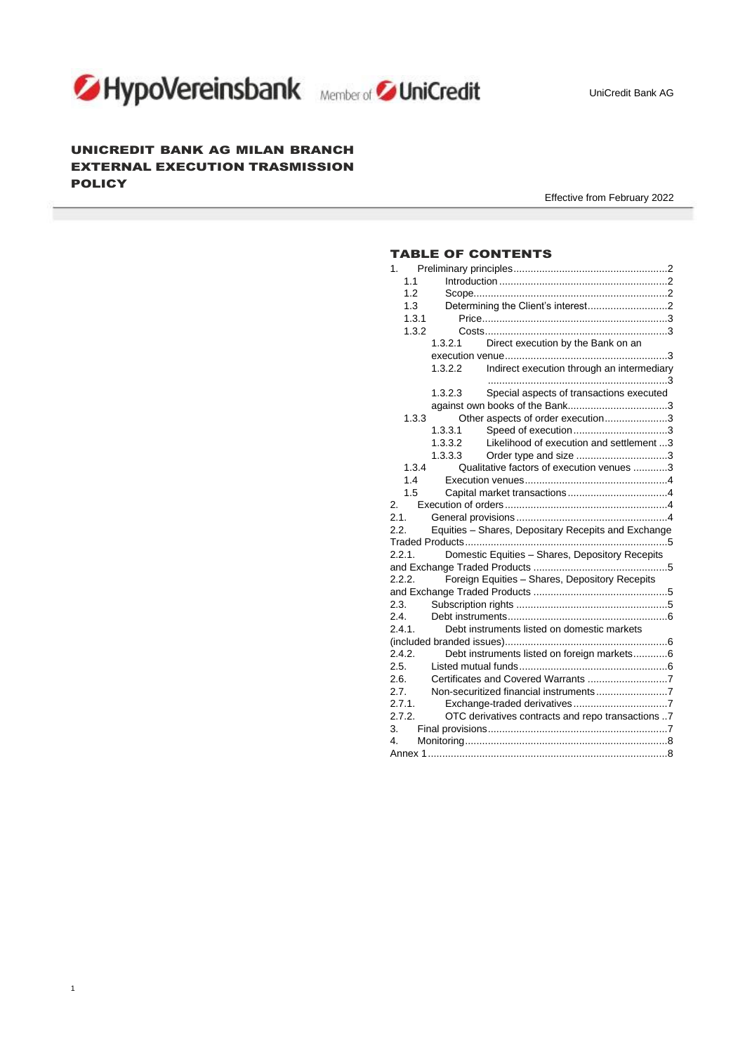

<u> Tanzania (</u>

1



# UNICREDIT BANK AG MILAN BRANCH EXTERNAL EXECUTION TRASMISSION **POLICY**

Effective from February 2022

# TABLE OF CONTENTS

| 1.1                                                     |         |                                                     |  |  |  |  |
|---------------------------------------------------------|---------|-----------------------------------------------------|--|--|--|--|
| 1.2                                                     |         |                                                     |  |  |  |  |
| 1.3                                                     |         |                                                     |  |  |  |  |
| 1.3.1                                                   |         |                                                     |  |  |  |  |
| 1.3.2                                                   |         |                                                     |  |  |  |  |
|                                                         | 1.3.2.1 | Direct execution by the Bank on an                  |  |  |  |  |
|                                                         |         |                                                     |  |  |  |  |
|                                                         | 1.3.2.2 | Indirect execution through an intermediary          |  |  |  |  |
|                                                         | 1.3.2.3 | Special aspects of transactions executed            |  |  |  |  |
|                                                         |         |                                                     |  |  |  |  |
| 1.3.3                                                   |         | Other aspects of order execution3                   |  |  |  |  |
|                                                         | 1.3.3.1 | Speed of execution3                                 |  |  |  |  |
|                                                         | 1.3.3.2 | Likelihood of execution and settlement 3            |  |  |  |  |
|                                                         | 1.3.3.3 | Order type and size 3                               |  |  |  |  |
| 1.3.4                                                   |         | Qualitative factors of execution venues 3           |  |  |  |  |
| 1.4                                                     |         |                                                     |  |  |  |  |
| 1.5                                                     |         |                                                     |  |  |  |  |
| 2.                                                      |         |                                                     |  |  |  |  |
| 2.1.                                                    |         |                                                     |  |  |  |  |
| 2.2.                                                    |         | Equities - Shares, Depositary Recepits and Exchange |  |  |  |  |
|                                                         |         |                                                     |  |  |  |  |
| 2.2.1.                                                  |         | Domestic Equities - Shares, Depository Recepits     |  |  |  |  |
|                                                         |         |                                                     |  |  |  |  |
| 2.2.2.                                                  |         | Foreign Equities - Shares, Depository Recepits      |  |  |  |  |
|                                                         |         |                                                     |  |  |  |  |
| 2.3.                                                    |         |                                                     |  |  |  |  |
| 2.4.                                                    |         |                                                     |  |  |  |  |
| 2.4.1.                                                  |         | Debt instruments listed on domestic markets         |  |  |  |  |
| 2.4.2.                                                  |         |                                                     |  |  |  |  |
| 2.5.                                                    |         | Debt instruments listed on foreign markets6         |  |  |  |  |
| 2.6.                                                    |         |                                                     |  |  |  |  |
| 2.7.                                                    |         |                                                     |  |  |  |  |
| 2.7.1.                                                  |         |                                                     |  |  |  |  |
| 2.7.2.                                                  |         |                                                     |  |  |  |  |
| OTC derivatives contracts and repo transactions 7<br>3. |         |                                                     |  |  |  |  |
| 4.                                                      |         |                                                     |  |  |  |  |
|                                                         |         |                                                     |  |  |  |  |
|                                                         |         |                                                     |  |  |  |  |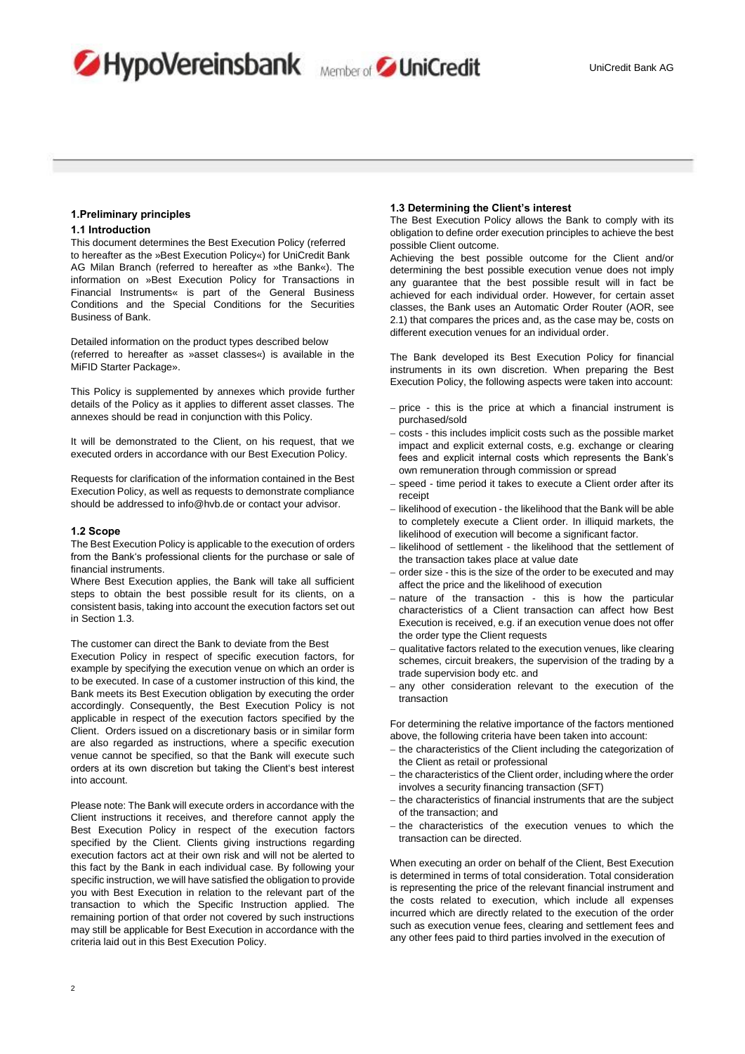





# <span id="page-1-0"></span>**1.Preliminary principles**

## <span id="page-1-1"></span>**1.1 Introduction**

This document determines the Best Execution Policy (referred to hereafter as the »Best Execution Policy«) for UniCredit Bank AG Milan Branch (referred to hereafter as »the Bank«). The information on »Best Execution Policy for Transactions in Financial Instruments« is part of the General Business Conditions and the Special Conditions for the Securities Business of Bank.

Detailed information on the product types described below (referred to hereafter as »asset classes«) is available in the MiFID Starter Package».

This Policy is supplemented by annexes which provide further details of the Policy as it applies to different asset classes. The annexes should be read in conjunction with this Policy.

It will be demonstrated to the Client, on his request, that we executed orders in accordance with our Best Execution Policy.

Requests for clarification of the information contained in the Best Execution Policy, as well as requests to demonstrate compliance should be addressed to info@hvb.de or contact your advisor.

#### <span id="page-1-2"></span>**1.2 Scope**

The Best Execution Policy is applicable to the execution of orders from the Bank's professional clients for the purchase or sale of financial instruments.

Where Best Execution applies, the Bank will take all sufficient steps to obtain the best possible result for its clients, on a consistent basis, taking into account the execution factors set out in Section 1.3.

The customer can direct the Bank to deviate from the Best Execution Policy in respect of specific execution factors, for example by specifying the execution venue on which an order is to be executed. In case of a customer instruction of this kind, the Bank meets its Best Execution obligation by executing the order accordingly. Consequently, the Best Execution Policy is not applicable in respect of the execution factors specified by the Client. Orders issued on a discretionary basis or in similar form are also regarded as instructions, where a specific execution venue cannot be specified, so that the Bank will execute such orders at its own discretion but taking the Client's best interest into account.

Please note: The Bank will execute orders in accordance with the Client instructions it receives, and therefore cannot apply the Best Execution Policy in respect of the execution factors specified by the Client. Clients giving instructions regarding execution factors act at their own risk and will not be alerted to this fact by the Bank in each individual case. By following your specific instruction, we will have satisfied the obligation to provide you with Best Execution in relation to the relevant part of the transaction to which the Specific Instruction applied. The remaining portion of that order not covered by such instructions may still be applicable for Best Execution in accordance with the criteria laid out in this Best Execution Policy.

## <span id="page-1-3"></span>**1.3 Determining the Client's interest**

The Best Execution Policy allows the Bank to comply with its obligation to define order execution principles to achieve the best possible Client outcome.

Achieving the best possible outcome for the Client and/or determining the best possible execution venue does not imply any guarantee that the best possible result will in fact be achieved for each individual order. However, for certain asset classes, the Bank uses an Automatic Order Router (AOR, see 2.1) that compares the prices and, as the case may be, costs on different execution venues for an individual order.

The Bank developed its Best Execution Policy for financial instruments in its own discretion. When preparing the Best Execution Policy, the following aspects were taken into account:

- − price this is the price at which a financial instrument is purchased/sold
- − costs this includes implicit costs such as the possible market impact and explicit external costs, e.g. exchange or clearing fees and explicit internal costs which represents the Bank's own remuneration through commission or spread
- − speed time period it takes to execute a Client order after its receipt
- − likelihood of execution the likelihood that the Bank will be able to completely execute a Client order. In illiquid markets, the likelihood of execution will become a significant factor.
- − likelihood of settlement the likelihood that the settlement of the transaction takes place at value date
- − order size this is the size of the order to be executed and may affect the price and the likelihood of execution
- − nature of the transaction this is how the particular characteristics of a Client transaction can affect how Best Execution is received, e.g. if an execution venue does not offer the order type the Client requests
- − qualitative factors related to the execution venues, like clearing schemes, circuit breakers, the supervision of the trading by a trade supervision body etc. and
- − any other consideration relevant to the execution of the transaction

For determining the relative importance of the factors mentioned above, the following criteria have been taken into account:

- − the characteristics of the Client including the categorization of the Client as retail or professional
- − the characteristics of the Client order, including where the order involves a security financing transaction (SFT)
- − the characteristics of financial instruments that are the subject of the transaction; and
- − the characteristics of the execution venues to which the transaction can be directed.

When executing an order on behalf of the Client, Best Execution is determined in terms of total consideration. Total consideration is representing the price of the relevant financial instrument and the costs related to execution, which include all expenses incurred which are directly related to the execution of the order such as execution venue fees, clearing and settlement fees and any other fees paid to third parties involved in the execution of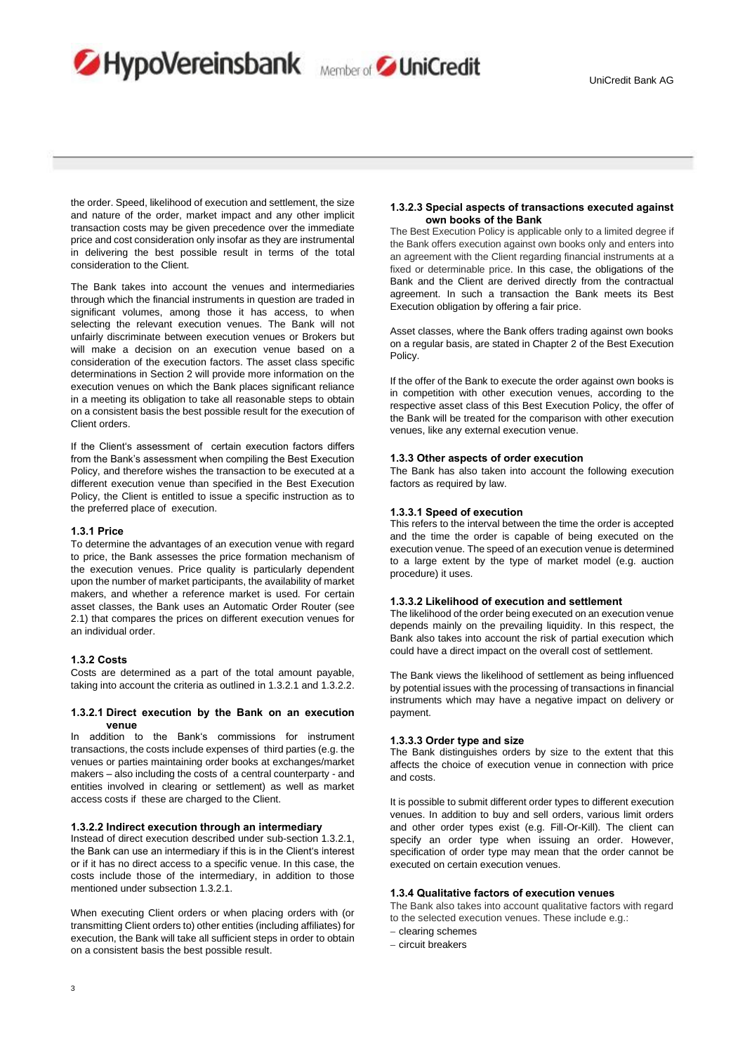

the order. Speed, likelihood of execution and settlement, the size and nature of the order, market impact and any other implicit transaction costs may be given precedence over the immediate price and cost consideration only insofar as they are instrumental in delivering the best possible result in terms of the total consideration to the Client.

HypoVereinsbank Member of UniCredit

The Bank takes into account the venues and intermediaries through which the financial instruments in question are traded in significant volumes, among those it has access, to when selecting the relevant execution venues. The Bank will not unfairly discriminate between execution venues or Brokers but will make a decision on an execution venue based on a consideration of the execution factors. The asset class specific determinations in Section 2 will provide more information on the execution venues on which the Bank places significant reliance in a meeting its obligation to take all reasonable steps to obtain on a consistent basis the best possible result for the execution of Client orders.

If the Client's assessment of certain execution factors differs from the Bank's assessment when compiling the Best Execution Policy, and therefore wishes the transaction to be executed at a different execution venue than specified in the Best Execution Policy, the Client is entitled to issue a specific instruction as to the preferred place of execution.

### <span id="page-2-0"></span>**1.3.1 Price**

To determine the advantages of an execution venue with regard to price, the Bank assesses the price formation mechanism of the execution venues. Price quality is particularly dependent upon the number of market participants, the availability of market makers, and whether a reference market is used. For certain asset classes, the Bank uses an Automatic Order Router (see 2.1) that compares the prices on different execution venues for an individual order.

#### <span id="page-2-1"></span>**1.3.2 Costs**

Costs are determined as a part of the total amount payable, taking into account the criteria as outlined in 1.3.2.1 and 1.3.2.2.

#### <span id="page-2-2"></span>**1.3.2.1 Direct execution by the Bank on an execution venue**

In addition to the Bank's commissions for instrument transactions, the costs include expenses of third parties (e.g. the venues or parties maintaining order books at exchanges/market makers – also including the costs of a central counterparty - and entities involved in clearing or settlement) as well as market access costs if these are charged to the Client.

# <span id="page-2-3"></span>**1.3.2.2 Indirect execution through an intermediary**

Instead of direct execution described under sub-section 1.3.2.1, the Bank can use an intermediary if this is in the Client's interest or if it has no direct access to a specific venue. In this case, the costs include those of the intermediary, in addition to those mentioned under subsection 1.3.2.1.

When executing Client orders or when placing orders with (or transmitting Client orders to) other entities (including affiliates) for execution, the Bank will take all sufficient steps in order to obtain on a consistent basis the best possible result.

#### <span id="page-2-4"></span>**1.3.2.3 Special aspects of transactions executed against own books of the Bank**

The Best Execution Policy is applicable only to a limited degree if the Bank offers execution against own books only and enters into an agreement with the Client regarding financial instruments at a fixed or determinable price. In this case, the obligations of the Bank and the Client are derived directly from the contractual agreement. In such a transaction the Bank meets its Best Execution obligation by offering a fair price.

Asset classes, where the Bank offers trading against own books on a regular basis, are stated in Chapter 2 of the Best Execution **Policy** 

If the offer of the Bank to execute the order against own books is in competition with other execution venues, according to the respective asset class of this Best Execution Policy, the offer of the Bank will be treated for the comparison with other execution venues, like any external execution venue.

#### <span id="page-2-5"></span>**1.3.3 Other aspects of order execution**

The Bank has also taken into account the following execution factors as required by law.

### <span id="page-2-6"></span>**1.3.3.1 Speed of execution**

This refers to the interval between the time the order is accepted and the time the order is capable of being executed on the execution venue. The speed of an execution venue is determined to a large extent by the type of market model (e.g. auction procedure) it uses.

## <span id="page-2-7"></span>**1.3.3.2 Likelihood of execution and settlement**

The likelihood of the order being executed on an execution venue depends mainly on the prevailing liquidity. In this respect, the Bank also takes into account the risk of partial execution which could have a direct impact on the overall cost of settlement.

The Bank views the likelihood of settlement as being influenced by potential issues with the processing of transactions in financial instruments which may have a negative impact on delivery or payment.

#### <span id="page-2-8"></span>**1.3.3.3 Order type and size**

The Bank distinguishes orders by size to the extent that this affects the choice of execution venue in connection with price and costs.

It is possible to submit different order types to different execution venues. In addition to buy and sell orders, various limit orders and other order types exist (e.g. Fill-Or-Kill). The client can specify an order type when issuing an order. However, specification of order type may mean that the order cannot be executed on certain execution venues.

#### <span id="page-2-9"></span>**1.3.4 Qualitative factors of execution venues**

The Bank also takes into account qualitative factors with regard to the selected execution venues. These include e.g.:

- − clearing schemes
- − circuit breakers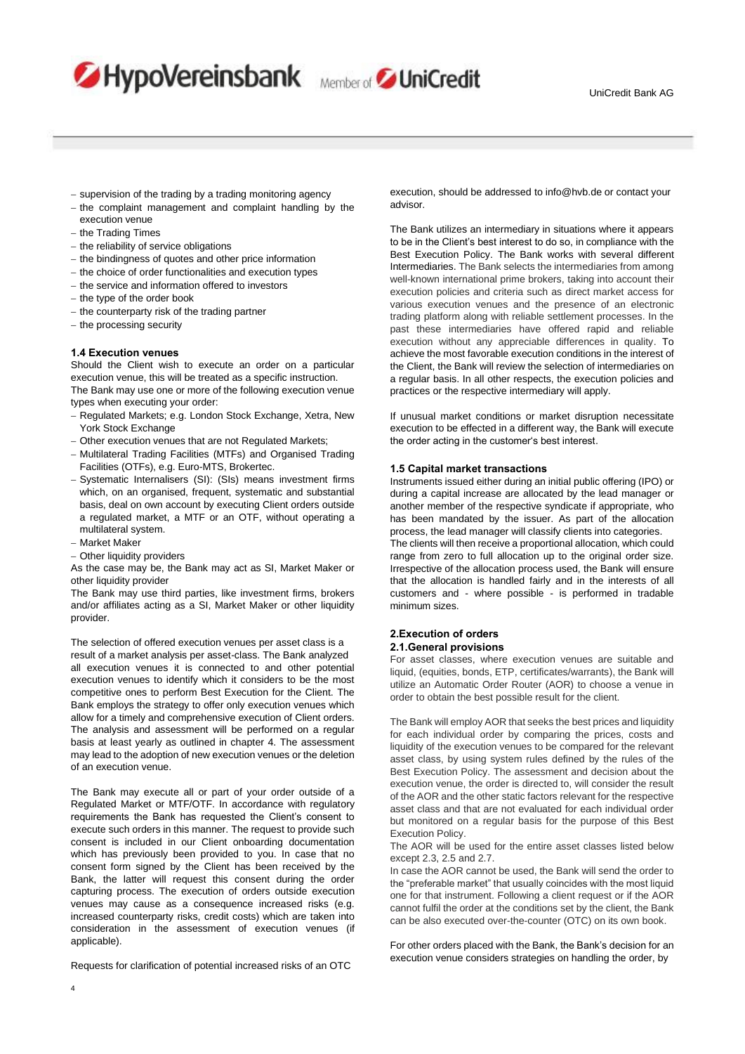- − supervision of the trading by a trading monitoring agency
- − the complaint management and complaint handling by the

HypoVereinsbank Member of JUniCredit

- execution venue
- − the Trading Times
- − the reliability of service obligations
- − the bindingness of quotes and other price information
- − the choice of order functionalities and execution types
- − the service and information offered to investors
- − the type of the order book
- − the counterparty risk of the trading partner
- − the processing security

#### <span id="page-3-0"></span>**1.4 Execution venues**

Should the Client wish to execute an order on a particular execution venue, this will be treated as a specific instruction. The Bank may use one or more of the following execution venue types when executing your order:

- − Regulated Markets; e.g. London Stock Exchange, Xetra, New York Stock Exchange
- − Other execution venues that are not Regulated Markets;
- − Multilateral Trading Facilities (MTFs) and Organised Trading Facilities (OTFs), e.g. Euro-MTS, Brokertec.
- − Systematic Internalisers (SI): (SIs) means investment firms which, on an organised, frequent, systematic and substantial basis, deal on own account by executing Client orders outside a regulated market, a MTF or an OTF, without operating a multilateral system.
- − Market Maker
- − Other liquidity providers

As the case may be, the Bank may act as SI, Market Maker or other liquidity provider

The Bank may use third parties, like investment firms, brokers and/or affiliates acting as a SI, Market Maker or other liquidity provider.

The selection of offered execution venues per asset class is a result of a market analysis per asset-class. The Bank analyzed all execution venues it is connected to and other potential execution venues to identify which it considers to be the most competitive ones to perform Best Execution for the Client. The Bank employs the strategy to offer only execution venues which allow for a timely and comprehensive execution of Client orders. The analysis and assessment will be performed on a regular basis at least yearly as outlined in chapter 4. The assessment may lead to the adoption of new execution venues or the deletion of an execution venue.

The Bank may execute all or part of your order outside of a Regulated Market or MTF/OTF. In accordance with regulatory requirements the Bank has requested the Client's consent to execute such orders in this manner. The request to provide such consent is included in our Client onboarding documentation which has previously been provided to you. In case that no consent form signed by the Client has been received by the Bank, the latter will request this consent during the order capturing process. The execution of orders outside execution venues may cause as a consequence increased risks (e.g. increased counterparty risks, credit costs) which are taken into consideration in the assessment of execution venues (if applicable).

Requests for clarification of potential increased risks of an OTC

execution, should be addressed to info@hvb.de or contact your advisor.

The Bank utilizes an intermediary in situations where it appears to be in the Client's best interest to do so, in compliance with the Best Execution Policy. The Bank works with several different Intermediaries. The Bank selects the intermediaries from among well-known international prime brokers, taking into account their execution policies and criteria such as direct market access for various execution venues and the presence of an electronic trading platform along with reliable settlement processes. In the past these intermediaries have offered rapid and reliable execution without any appreciable differences in quality. To achieve the most favorable execution conditions in the interest of the Client, the Bank will review the selection of intermediaries on a regular basis. In all other respects, the execution policies and practices or the respective intermediary will apply.

If unusual market conditions or market disruption necessitate execution to be effected in a different way, the Bank will execute the order acting in the customer's best interest.

#### <span id="page-3-1"></span>**1.5 Capital market transactions**

Instruments issued either during an initial public offering (IPO) or during a capital increase are allocated by the lead manager or another member of the respective syndicate if appropriate, who has been mandated by the issuer. As part of the allocation process, the lead manager will classify clients into categories.

The clients will then receive a proportional allocation, which could range from zero to full allocation up to the original order size. Irrespective of the allocation process used, the Bank will ensure that the allocation is handled fairly and in the interests of all customers and - where possible - is performed in tradable minimum sizes.

### <span id="page-3-3"></span><span id="page-3-2"></span>**2.Execution of orders 2.1.General provisions**

For asset classes, where execution venues are suitable and liquid, (equities, bonds, ETP, certificates/warrants), the Bank will utilize an Automatic Order Router (AOR) to choose a venue in order to obtain the best possible result for the client.

The Bank will employ AOR that seeks the best prices and liquidity for each individual order by comparing the prices, costs and liquidity of the execution venues to be compared for the relevant asset class, by using system rules defined by the rules of the Best Execution Policy. The assessment and decision about the execution venue, the order is directed to, will consider the result of the AOR and the other static factors relevant for the respective asset class and that are not evaluated for each individual order but monitored on a regular basis for the purpose of this Best Execution Policy.

The AOR will be used for the entire asset classes listed below except 2.3, 2.5 and 2.7.

In case the AOR cannot be used, the Bank will send the order to the "preferable market" that usually coincides with the most liquid one for that instrument. Following a client request or if the AOR cannot fulfil the order at the conditions set by the client, the Bank can be also executed over-the-counter (OTC) on its own book.

For other orders placed with the Bank, the Bank's decision for an execution venue considers strategies on handling the order, by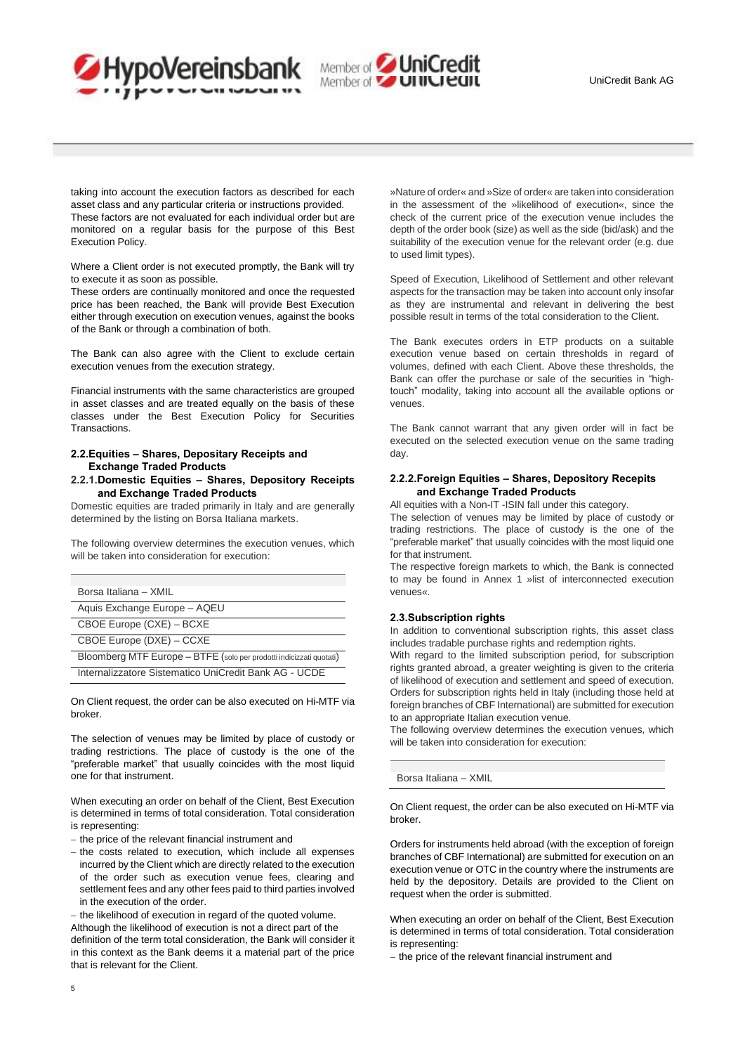



taking into account the execution factors as described for each asset class and any particular criteria or instructions provided. These factors are not evaluated for each individual order but are monitored on a regular basis for the purpose of this Best Execution Policy.

Where a Client order is not executed promptly, the Bank will try to execute it as soon as possible.

These orders are continually monitored and once the requested price has been reached, the Bank will provide Best Execution either through execution on execution venues, against the books of the Bank or through a combination of both.

The Bank can also agree with the Client to exclude certain execution venues from the execution strategy.

Financial instruments with the same characteristics are grouped in asset classes and are treated equally on the basis of these classes under the Best Execution Policy for Securities Transactions.

# <span id="page-4-0"></span>**2.2.Equities – Shares, Depositary Receipts and Exchange Traded Products**

<span id="page-4-1"></span>**2.2.1.Domestic Equities – Shares, Depository Receipts and Exchange Traded Products** 

Domestic equities are traded primarily in Italy and are generally determined by the listing on Borsa Italiana markets.

The following overview determines the execution venues, which will be taken into consideration for execution:

| Borsa Italiana – XMII                                               |  |  |
|---------------------------------------------------------------------|--|--|
| Aquis Exchange Europe - AQEU                                        |  |  |
| CBOE Europe (CXE) - BCXE                                            |  |  |
| CBOE Europe (DXE) - CCXE                                            |  |  |
| Bloomberg MTF Europe - BTFE (solo per prodotti indicizzati quotati) |  |  |
| Internalizzatore Sistematico UniCredit Bank AG - UCDE               |  |  |

On Client request, the order can be also executed on Hi-MTF via broker.

The selection of venues may be limited by place of custody or trading restrictions. The place of custody is the one of the "preferable market" that usually coincides with the most liquid one for that instrument.

When executing an order on behalf of the Client, Best Execution is determined in terms of total consideration. Total consideration is representing:

- − the price of the relevant financial instrument and
- − the costs related to execution, which include all expenses incurred by the Client which are directly related to the execution of the order such as execution venue fees, clearing and settlement fees and any other fees paid to third parties involved in the execution of the order.

− the likelihood of execution in regard of the quoted volume. Although the likelihood of execution is not a direct part of the definition of the term total consideration, the Bank will consider it in this context as the Bank deems it a material part of the price that is relevant for the Client.

»Nature of order« and »Size of order« are taken into consideration in the assessment of the »likelihood of execution«, since the check of the current price of the execution venue includes the depth of the order book (size) as well as the side (bid/ask) and the suitability of the execution venue for the relevant order (e.g. due to used limit types).

Speed of Execution, Likelihood of Settlement and other relevant aspects for the transaction may be taken into account only insofar as they are instrumental and relevant in delivering the best possible result in terms of the total consideration to the Client.

The Bank executes orders in ETP products on a suitable execution venue based on certain thresholds in regard of volumes, defined with each Client. Above these thresholds, the Bank can offer the purchase or sale of the securities in "hightouch" modality, taking into account all the available options or venues.

The Bank cannot warrant that any given order will in fact be executed on the selected execution venue on the same trading day.

# <span id="page-4-2"></span>**2.2.2.Foreign Equities – Shares, Depository Recepits and Exchange Traded Products**

All equities with a Non-IT -ISIN fall under this category.

The selection of venues may be limited by place of custody or trading restrictions. The place of custody is the one of the "preferable market" that usually coincides with the most liquid one for that instrument.

The respective foreign markets to which, the Bank is connected to may be found in Annex 1 »list of interconnected execution venues«.

## <span id="page-4-3"></span>**2.3.Subscription rights**

In addition to conventional subscription rights, this asset class includes tradable purchase rights and redemption rights.

With regard to the limited subscription period, for subscription rights granted abroad, a greater weighting is given to the criteria of likelihood of execution and settlement and speed of execution. Orders for subscription rights held in Italy (including those held at foreign branches of CBF International) are submitted for execution to an appropriate Italian execution venue.

The following overview determines the execution venues, which will be taken into consideration for execution:

Borsa Italiana – XMIL

On Client request, the order can be also executed on Hi-MTF via broker.

Orders for instruments held abroad (with the exception of foreign branches of CBF International) are submitted for execution on an execution venue or OTC in the country where the instruments are held by the depository. Details are provided to the Client on request when the order is submitted.

When executing an order on behalf of the Client, Best Execution is determined in terms of total consideration. Total consideration is representing:

− the price of the relevant financial instrument and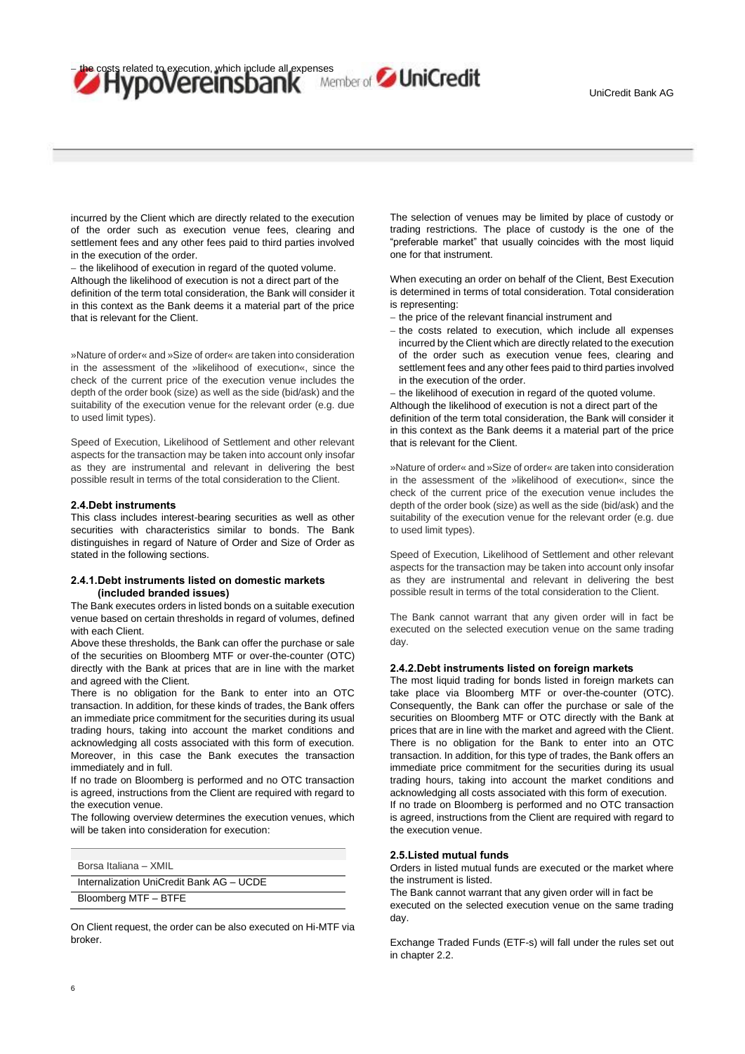osts related to execution, which include all expenses<br>HypoVereinsbank Member of SuniCredit

incurred by the Client which are directly related to the execution of the order such as execution venue fees, clearing and settlement fees and any other fees paid to third parties involved in the execution of the order.

− the likelihood of execution in regard of the quoted volume.

Although the likelihood of execution is not a direct part of the definition of the term total consideration, the Bank will consider it in this context as the Bank deems it a material part of the price that is relevant for the Client.

»Nature of order« and »Size of order« are taken into consideration in the assessment of the »likelihood of execution«, since the check of the current price of the execution venue includes the depth of the order book (size) as well as the side (bid/ask) and the suitability of the execution venue for the relevant order (e.g. due to used limit types).

Speed of Execution, Likelihood of Settlement and other relevant aspects for the transaction may be taken into account only insofar as they are instrumental and relevant in delivering the best possible result in terms of the total consideration to the Client.

#### <span id="page-5-0"></span>**2.4.Debt instruments**

This class includes interest-bearing securities as well as other securities with characteristics similar to bonds. The Bank distinguishes in regard of Nature of Order and Size of Order as stated in the following sections.

## <span id="page-5-1"></span>**2.4.1.Debt instruments listed on domestic markets (included branded issues)**

The Bank executes orders in listed bonds on a suitable execution venue based on certain thresholds in regard of volumes, defined with each Client.

Above these thresholds, the Bank can offer the purchase or sale of the securities on Bloomberg MTF or over-the-counter (OTC) directly with the Bank at prices that are in line with the market and agreed with the Client.

There is no obligation for the Bank to enter into an OTC transaction. In addition, for these kinds of trades, the Bank offers an immediate price commitment for the securities during its usual trading hours, taking into account the market conditions and acknowledging all costs associated with this form of execution. Moreover, in this case the Bank executes the transaction immediately and in full.

If no trade on Bloomberg is performed and no OTC transaction is agreed, instructions from the Client are required with regard to the execution venue.

The following overview determines the execution venues, which will be taken into consideration for execution:

| Borsa Italiana - XMIL                    |
|------------------------------------------|
| Internalization UniCredit Bank AG - UCDE |
| Bloomberg MTF - BTFE                     |

On Client request, the order can be also executed on Hi-MTF via broker.

The selection of venues may be limited by place of custody or trading restrictions. The place of custody is the one of the "preferable market" that usually coincides with the most liquid one for that instrument.

When executing an order on behalf of the Client, Best Execution is determined in terms of total consideration. Total consideration is representing:

- − the price of the relevant financial instrument and
- − the costs related to execution, which include all expenses incurred by the Client which are directly related to the execution of the order such as execution venue fees, clearing and settlement fees and any other fees paid to third parties involved in the execution of the order.

the likelihood of execution in regard of the quoted volume. Although the likelihood of execution is not a direct part of the definition of the term total consideration, the Bank will consider it in this context as the Bank deems it a material part of the price that is relevant for the Client.

»Nature of order« and »Size of order« are taken into consideration in the assessment of the »likelihood of execution«, since the check of the current price of the execution venue includes the depth of the order book (size) as well as the side (bid/ask) and the suitability of the execution venue for the relevant order (e.g. due to used limit types).

Speed of Execution, Likelihood of Settlement and other relevant aspects for the transaction may be taken into account only insofar as they are instrumental and relevant in delivering the best possible result in terms of the total consideration to the Client.

The Bank cannot warrant that any given order will in fact be executed on the selected execution venue on the same trading day.

## <span id="page-5-2"></span>**2.4.2.Debt instruments listed on foreign markets**

The most liquid trading for bonds listed in foreign markets can take place via Bloomberg MTF or over-the-counter (OTC). Consequently, the Bank can offer the purchase or sale of the securities on Bloomberg MTF or OTC directly with the Bank at prices that are in line with the market and agreed with the Client. There is no obligation for the Bank to enter into an OTC transaction. In addition, for this type of trades, the Bank offers an immediate price commitment for the securities during its usual trading hours, taking into account the market conditions and acknowledging all costs associated with this form of execution.

If no trade on Bloomberg is performed and no OTC transaction is agreed, instructions from the Client are required with regard to the execution venue.

# <span id="page-5-3"></span>**2.5.Listed mutual funds**

Orders in listed mutual funds are executed or the market where the instrument is listed.

The Bank cannot warrant that any given order will in fact be executed on the selected execution venue on the same trading day.

Exchange Traded Funds (ETF-s) will fall under the rules set out in chapter 2.2.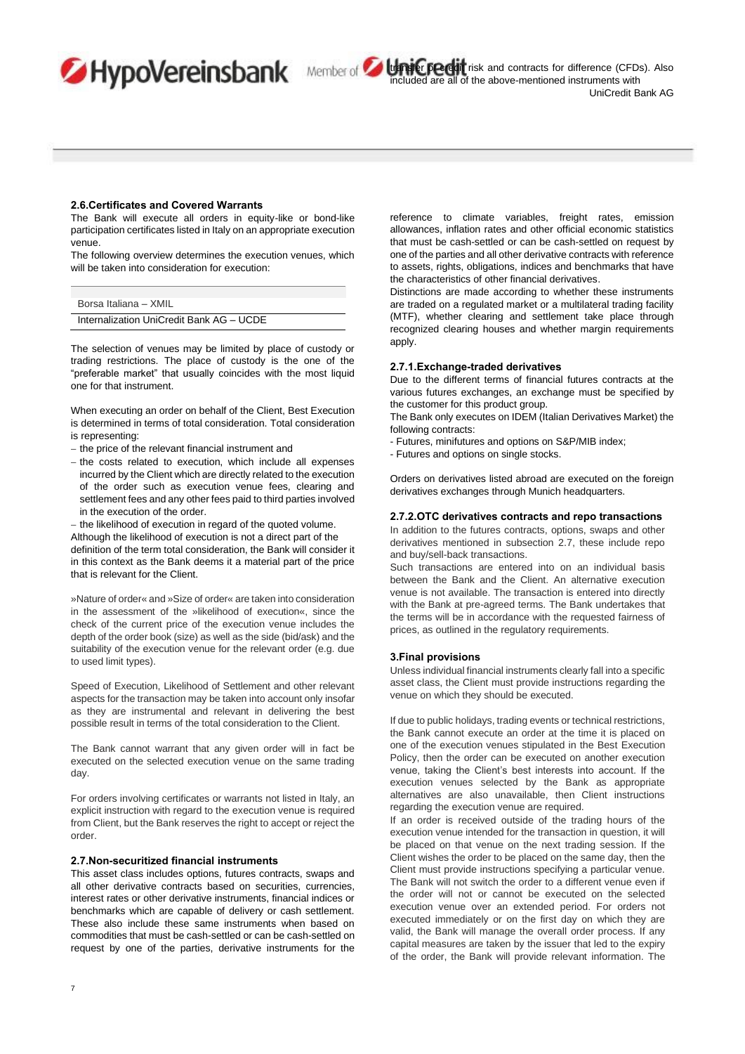transfer **preddit** risk and contracts for difference (CFDs). Also included are all of the above-mentioned instruments with UniCredit Bank AG

### <span id="page-6-0"></span>**2.6.Certificates and Covered Warrants**

The Bank will execute all orders in equity-like or bond-like participation certificates listed in Italy on an appropriate execution venue.

The following overview determines the execution venues, which will be taken into consideration for execution:

| Borsa Italiana - XMIL                    |
|------------------------------------------|
| Internalization UniCredit Bank AG - UCDE |

The selection of venues may be limited by place of custody or trading restrictions. The place of custody is the one of the "preferable market" that usually coincides with the most liquid one for that instrument.

When executing an order on behalf of the Client, Best Execution is determined in terms of total consideration. Total consideration is representing:

- − the price of the relevant financial instrument and
- − the costs related to execution, which include all expenses incurred by the Client which are directly related to the execution of the order such as execution venue fees, clearing and settlement fees and any other fees paid to third parties involved in the execution of the order.

− the likelihood of execution in regard of the quoted volume. Although the likelihood of execution is not a direct part of the definition of the term total consideration, the Bank will consider it in this context as the Bank deems it a material part of the price that is relevant for the Client.

»Nature of order« and »Size of order« are taken into consideration in the assessment of the »likelihood of execution«, since the check of the current price of the execution venue includes the depth of the order book (size) as well as the side (bid/ask) and the suitability of the execution venue for the relevant order (e.g. due to used limit types).

Speed of Execution, Likelihood of Settlement and other relevant aspects for the transaction may be taken into account only insofar as they are instrumental and relevant in delivering the best possible result in terms of the total consideration to the Client.

The Bank cannot warrant that any given order will in fact be executed on the selected execution venue on the same trading day.

For orders involving certificates or warrants not listed in Italy, an explicit instruction with regard to the execution venue is required from Client, but the Bank reserves the right to accept or reject the order.

## <span id="page-6-1"></span>**2.7.Non-securitized financial instruments**

This asset class includes options, futures contracts, swaps and all other derivative contracts based on securities, currencies, interest rates or other derivative instruments, financial indices or benchmarks which are capable of delivery or cash settlement. These also include these same instruments when based on commodities that must be cash-settled or can be cash-settled on request by one of the parties, derivative instruments for the

reference to climate variables, freight rates, emission allowances, inflation rates and other official economic statistics that must be cash-settled or can be cash-settled on request by one of the parties and all other derivative contracts with reference to assets, rights, obligations, indices and benchmarks that have the characteristics of other financial derivatives.

Distinctions are made according to whether these instruments are traded on a regulated market or a multilateral trading facility (MTF), whether clearing and settlement take place through recognized clearing houses and whether margin requirements apply.

#### <span id="page-6-2"></span>**2.7.1.Exchange-traded derivatives**

Due to the different terms of financial futures contracts at the various futures exchanges, an exchange must be specified by the customer for this product group.

The Bank only executes on IDEM (Italian Derivatives Market) the following contracts:

- Futures, minifutures and options on S&P/MIB index;
- Futures and options on single stocks.

Orders on derivatives listed abroad are executed on the foreign derivatives exchanges through Munich headquarters.

# <span id="page-6-3"></span>**2.7.2.OTC derivatives contracts and repo transactions**

In addition to the futures contracts, options, swaps and other derivatives mentioned in subsection 2.7, these include repo and buy/sell-back transactions.

Such transactions are entered into on an individual basis between the Bank and the Client. An alternative execution venue is not available. The transaction is entered into directly with the Bank at pre-agreed terms. The Bank undertakes that the terms will be in accordance with the requested fairness of prices, as outlined in the regulatory requirements.

#### <span id="page-6-4"></span>**3.Final provisions**

Unless individual financial instruments clearly fall into a specific asset class, the Client must provide instructions regarding the venue on which they should be executed.

If due to public holidays, trading events or technical restrictions, the Bank cannot execute an order at the time it is placed on one of the execution venues stipulated in the Best Execution Policy, then the order can be executed on another execution venue, taking the Client's best interests into account. If the execution venues selected by the Bank as appropriate alternatives are also unavailable, then Client instructions regarding the execution venue are required.

If an order is received outside of the trading hours of the execution venue intended for the transaction in question, it will be placed on that venue on the next trading session. If the Client wishes the order to be placed on the same day, then the Client must provide instructions specifying a particular venue. The Bank will not switch the order to a different venue even if the order will not or cannot be executed on the selected execution venue over an extended period. For orders not executed immediately or on the first day on which they are valid, the Bank will manage the overall order process. If any capital measures are taken by the issuer that led to the expiry of the order, the Bank will provide relevant information. The